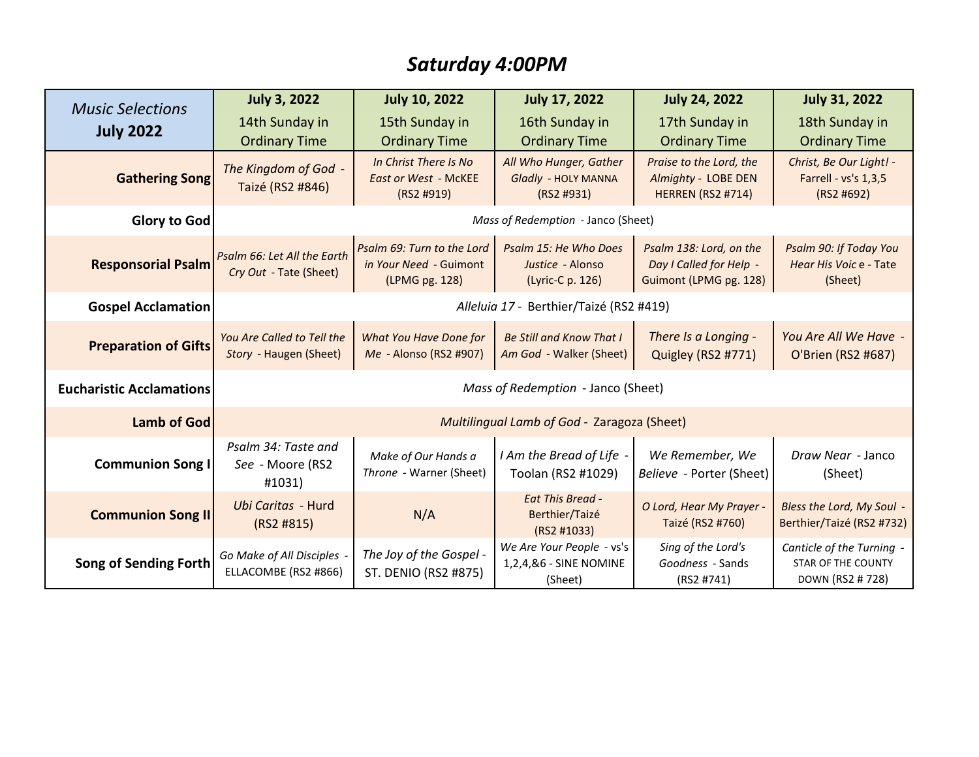## *Saturday 4:00PM*

| <b>Music Selections</b><br><b>July 2022</b> | <b>July 3, 2022</b>                                   | <b>July 10, 2022</b>                                                   | <b>July 17, 2022</b>                                           | <b>July 24, 2022</b>                                                         | <b>July 31, 2022</b>                                                       |
|---------------------------------------------|-------------------------------------------------------|------------------------------------------------------------------------|----------------------------------------------------------------|------------------------------------------------------------------------------|----------------------------------------------------------------------------|
|                                             | 14th Sunday in                                        | 15th Sunday in                                                         | 16th Sunday in                                                 | 17th Sunday in                                                               | 18th Sunday in                                                             |
|                                             | <b>Ordinary Time</b>                                  | <b>Ordinary Time</b>                                                   | <b>Ordinary Time</b>                                           | <b>Ordinary Time</b>                                                         | <b>Ordinary Time</b>                                                       |
| <b>Gathering Song</b>                       | The Kingdom of God -<br>Taizé (RS2 #846)              | In Christ There Is No<br><b>East or West - McKEE</b><br>(RS2 #919)     | All Who Hunger, Gather<br>Gladly - HOLY MANNA<br>(RS2 #931)    | Praise to the Lord, the<br>Almighty - LOBE DEN<br><b>HERREN (RS2 #714)</b>   | Christ, Be Our Light! -<br>Farrell - vs's 1,3,5<br>(RS2 #692)              |
| <b>Glory to God</b>                         | Mass of Redemption - Janco (Sheet)                    |                                                                        |                                                                |                                                                              |                                                                            |
| <b>Responsorial Psalm</b>                   | Psalm 66: Let All the Earth<br>Cry Out - Tate (Sheet) | Psalm 69: Turn to the Lord<br>in Your Need - Guimont<br>(LPMG pg. 128) | Psalm 15: He Who Does<br>Justice - Alonso<br>(Lyric-C p. 126)  | Psalm 138: Lord, on the<br>Day I Called for Help -<br>Guimont (LPMG pg. 128) | Psalm 90: If Today You<br>Hear His Voic e - Tate<br>(Sheet)                |
| <b>Gospel Acclamation</b>                   | Alleluia 17 - Berthier/Taizé (RS2 #419)               |                                                                        |                                                                |                                                                              |                                                                            |
| <b>Preparation of Gifts</b>                 | You Are Called to Tell the<br>Story - Haugen (Sheet)  | What You Have Done for<br>Me - Alonso (RS2 #907)                       | <b>Be Still and Know That I</b><br>Am God - Walker (Sheet)     | There Is a Longing -<br>Quigley (RS2 #771)                                   | You Are All We Have -<br>O'Brien (RS2 #687)                                |
| <b>Eucharistic Acclamations</b>             | Mass of Redemption - Janco (Sheet)                    |                                                                        |                                                                |                                                                              |                                                                            |
| <b>Lamb of God</b>                          | Multilingual Lamb of God - Zaragoza (Sheet)           |                                                                        |                                                                |                                                                              |                                                                            |
| <b>Communion Song I</b>                     | Psalm 34: Taste and<br>See - Moore (RS2<br>#1031)     | Make of Our Hands a<br>Throne - Warner (Sheet)                         | I Am the Bread of Life -<br>Toolan (RS2 #1029)                 | We Remember, We<br>Believe - Porter (Sheet)                                  | Draw Near - Janco<br>(Sheet)                                               |
| <b>Communion Song II</b>                    | Ubi Caritas - Hurd<br>(RS2 H815)                      | N/A                                                                    | <b>Eat This Bread -</b><br>Berthier/Taizé<br>(RS2 #1033)       | O Lord, Hear My Prayer -<br>Taizé (RS2 #760)                                 | Bless the Lord, My Soul -<br>Berthier/Taizé (RS2 #732)                     |
| <b>Song of Sending Forth</b>                | Go Make of All Disciples -<br>ELLACOMBE (RS2 #866)    | The Joy of the Gospel -<br><b>ST. DENIO (RS2 #875)</b>                 | We Are Your People - vs's<br>1,2,4,&6 - SINE NOMINE<br>(Sheet) | Sing of the Lord's<br>Goodness - Sands<br>(RS2 #741)                         | Canticle of the Turning -<br><b>STAR OF THE COUNTY</b><br>DOWN (RS2 # 728) |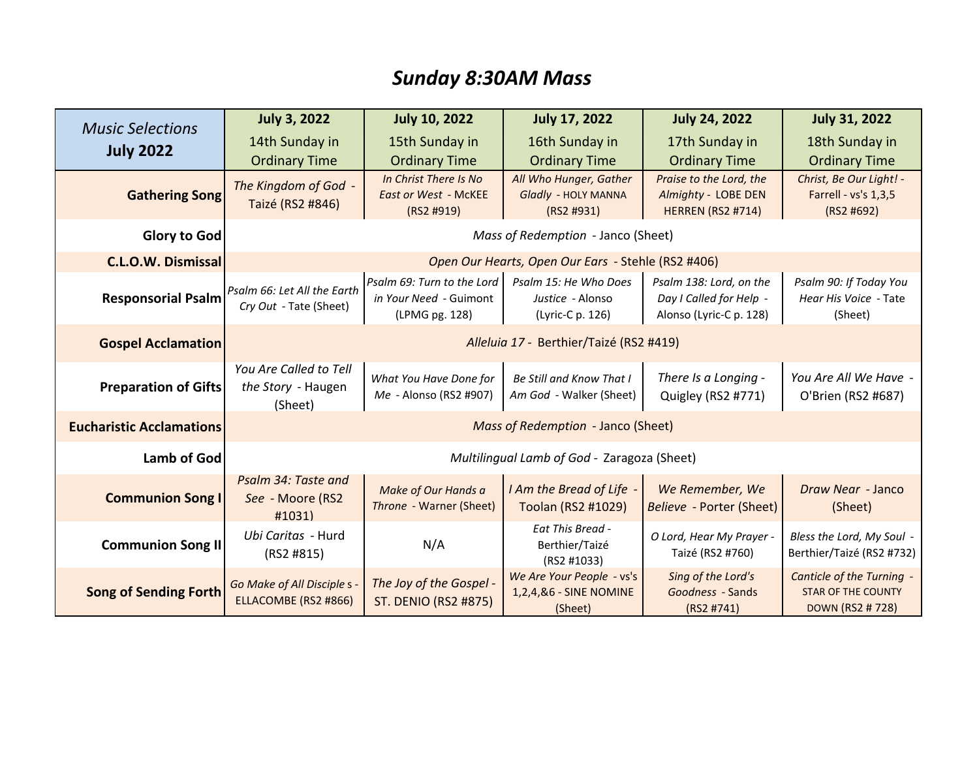## *Sunday 8:30AM Mass*

| <b>Music Selections</b><br><b>July 2022</b> | <b>July 3, 2022</b>                                                                                           | <b>July 10, 2022</b>                      | <b>July 17, 2022</b>                 | <b>July 24, 2022</b>                                | <b>July 31, 2022</b>               |  |
|---------------------------------------------|---------------------------------------------------------------------------------------------------------------|-------------------------------------------|--------------------------------------|-----------------------------------------------------|------------------------------------|--|
|                                             | 14th Sunday in                                                                                                | 15th Sunday in                            | 16th Sunday in                       | 17th Sunday in                                      | 18th Sunday in                     |  |
|                                             | <b>Ordinary Time</b>                                                                                          | <b>Ordinary Time</b>                      | <b>Ordinary Time</b>                 | <b>Ordinary Time</b>                                | <b>Ordinary Time</b>               |  |
| <b>Gathering Song</b>                       | The Kingdom of God -                                                                                          | In Christ There Is No                     | All Who Hunger, Gather               | Praise to the Lord, the                             | Christ, Be Our Light! -            |  |
|                                             | Taizé (RS2 #846)                                                                                              | <b>East or West - McKEE</b><br>(RS2 #919) | Gladly - HOLY MANNA<br>(RS2 H931)    | Almighty - LOBE DEN<br><b>HERREN (RS2 #714)</b>     | Farrell - vs's 1,3,5<br>(RS2 #692) |  |
| <b>Glory to God</b>                         | Mass of Redemption - Janco (Sheet)                                                                            |                                           |                                      |                                                     |                                    |  |
| <b>C.L.O.W. Dismissal</b>                   | Open Our Hearts, Open Our Ears - Stehle (RS2 #406)                                                            |                                           |                                      |                                                     |                                    |  |
| <b>Responsorial Psalm</b>                   | Psalm 66: Let All the Earth                                                                                   | Psalm 69: Turn to the Lord                | Psalm 15: He Who Does                | Psalm 138: Lord, on the                             | Psalm 90: If Today You             |  |
|                                             | Cry Out - Tate (Sheet)                                                                                        | in Your Need - Guimont<br>(LPMG pg. 128)  | Justice - Alonso<br>(Lyric-C p. 126) | Day I Called for Help -<br>Alonso (Lyric-C p. 128)  | Hear His Voice - Tate<br>(Sheet)   |  |
| <b>Gospel Acclamation</b>                   | Alleluia 17 - Berthier/Taizé (RS2 #419)                                                                       |                                           |                                      |                                                     |                                    |  |
|                                             |                                                                                                               |                                           |                                      |                                                     |                                    |  |
|                                             | You Are Called to Tell<br>the Story - Haugen                                                                  | What You Have Done for                    | Be Still and Know That I             | There Is a Longing -                                | You Are All We Have -              |  |
| <b>Preparation of Gifts</b>                 | (Sheet)                                                                                                       | Me - Alonso (RS2 #907)                    | Am God - Walker (Sheet)              | Quigley (RS2 #771)                                  | O'Brien (RS2 #687)                 |  |
| <b>Eucharistic Acclamations</b>             | Mass of Redemption - Janco (Sheet)                                                                            |                                           |                                      |                                                     |                                    |  |
| <b>Lamb of God</b>                          | Multilingual Lamb of God - Zaragoza (Sheet)                                                                   |                                           |                                      |                                                     |                                    |  |
| <b>Communion Song I</b>                     | Psalm 34: Taste and                                                                                           | Make of Our Hands a                       | I Am the Bread of Life -             | We Remember, We                                     | Draw Near - Janco                  |  |
|                                             | See - Moore (RS2<br>#1031)                                                                                    | Throne - Warner (Sheet)                   | Toolan (RS2 #1029)                   | Believe - Porter (Sheet)                            | (Sheet)                            |  |
| <b>Communion Song II</b>                    | Ubi Caritas - Hurd<br>N/A<br>(RS2 #815)                                                                       |                                           | Eat This Bread -                     | O Lord, Hear My Prayer -                            | Bless the Lord, My Soul -          |  |
|                                             |                                                                                                               |                                           | Berthier/Taizé<br>(RS2 #1033)        | Taizé (RS2 #760)                                    | Berthier/Taizé (RS2 #732)          |  |
| <b>Song of Sending Forth</b>                | The Joy of the Gospel -<br>Go Make of All Disciple s -<br>ELLACOMBE (RS2 #866)<br><b>ST. DENIO (RS2 #875)</b> |                                           | We Are Your People - vs's            | Sing of the Lord's                                  | Canticle of the Turning -          |  |
|                                             |                                                                                                               | 1,2,4,&6 - SINE NOMINE                    | Goodness - Sands                     | <b>STAR OF THE COUNTY</b><br><b>DOWN (RS2 #728)</b> |                                    |  |
|                                             |                                                                                                               |                                           | (Sheet)                              | (RS2 H741)                                          |                                    |  |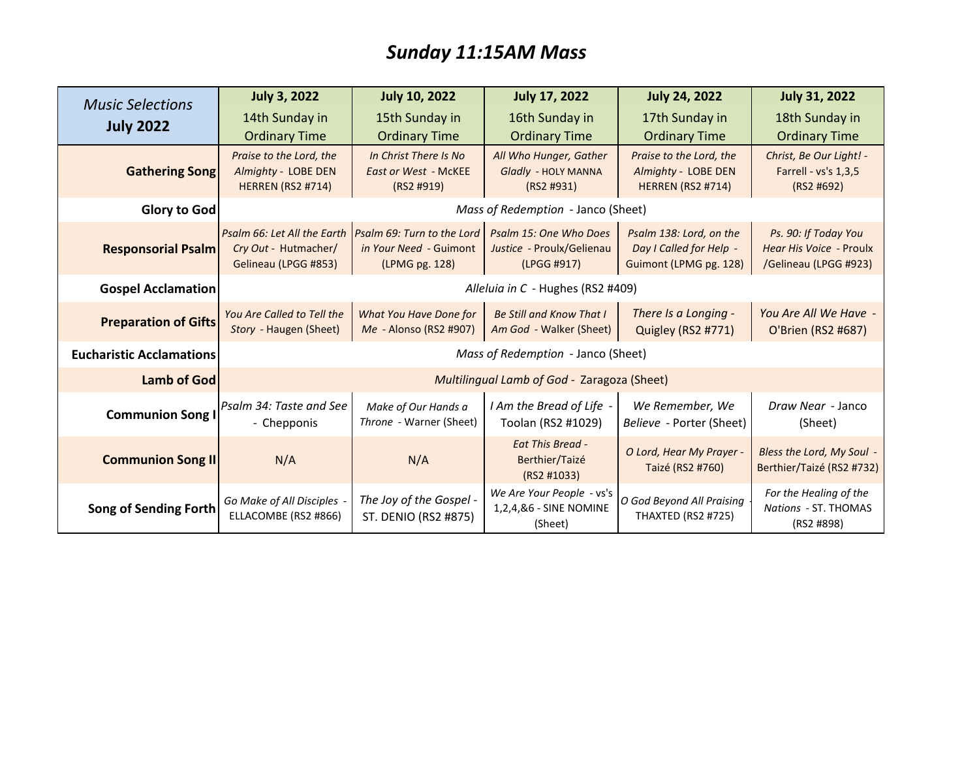## *Sunday 11:15AM Mass*

| <b>Music Selections</b><br><b>July 2022</b> | <b>July 3, 2022</b>                             | <b>July 10, 2022</b>                      | <b>July 17, 2022</b>              | <b>July 24, 2022</b>                            | <b>July 31, 2022</b>               |
|---------------------------------------------|-------------------------------------------------|-------------------------------------------|-----------------------------------|-------------------------------------------------|------------------------------------|
|                                             | 14th Sunday in                                  | 15th Sunday in                            | 16th Sunday in                    | 17th Sunday in                                  | 18th Sunday in                     |
|                                             | <b>Ordinary Time</b>                            | <b>Ordinary Time</b>                      | <b>Ordinary Time</b>              | <b>Ordinary Time</b>                            | <b>Ordinary Time</b>               |
| <b>Gathering Song</b>                       | Praise to the Lord, the                         | In Christ There Is No                     | All Who Hunger, Gather            | Praise to the Lord, the                         | Christ, Be Our Light! -            |
|                                             | Almighty - LOBE DEN<br><b>HERREN (RS2 #714)</b> | <b>East or West - McKEE</b><br>(RS2 #919) | Gladly - HOLY MANNA<br>(RS2 H931) | Almighty - LOBE DEN<br><b>HERREN (RS2 #714)</b> | Farrell - vs's 1,3,5<br>(RS2 #692) |
|                                             |                                                 |                                           |                                   |                                                 |                                    |
| Glory to God                                | Mass of Redemption - Janco (Sheet)              |                                           |                                   |                                                 |                                    |
|                                             | Psalm 66: Let All the Earth                     | Psalm 69: Turn to the Lord                | Psalm 15: One Who Does            | Psalm 138: Lord, on the                         | Ps. 90: If Today You               |
| <b>Responsorial Psalm</b>                   | Cry Out - Hutmacher/                            | in Your Need - Guimont                    | Justice - Proulx/Gelienau         | Day I Called for Help -                         | Hear His Voice - Proulx            |
|                                             | Gelineau (LPGG #853)                            | (LPMG pg. 128)                            | (LPGG #917)                       | Guimont (LPMG pg. 128)                          | /Gelineau (LPGG #923)              |
| <b>Gospel Acclamation</b>                   | Alleluia in C - Hughes (RS2 #409)               |                                           |                                   |                                                 |                                    |
| <b>Preparation of Gifts</b>                 | You Are Called to Tell the                      | What You Have Done for                    | <b>Be Still and Know That I</b>   | There Is a Longing -                            | You Are All We Have -              |
|                                             | Story - Haugen (Sheet)                          | Me - Alonso (RS2 #907)                    | Am God - Walker (Sheet)           | Quigley (RS2 #771)                              | O'Brien (RS2 #687)                 |
| <b>Eucharistic Acclamations</b>             | Mass of Redemption - Janco (Sheet)              |                                           |                                   |                                                 |                                    |
| Lamb of God                                 | Multilingual Lamb of God - Zaragoza (Sheet)     |                                           |                                   |                                                 |                                    |
| <b>Communion Song I</b>                     | Psalm 34: Taste and See                         | Make of Our Hands a                       | I Am the Bread of Life -          | We Remember, We                                 | Draw Near - Janco                  |
|                                             | - Chepponis                                     | Throne - Warner (Sheet)                   | Toolan (RS2 #1029)                | Believe - Porter (Sheet)                        | (Sheet)                            |
| <b>Communion Song II</b>                    |                                                 |                                           | <b>Eat This Bread -</b>           | O Lord, Hear My Prayer -                        | Bless the Lord, My Soul -          |
|                                             | N/A                                             | N/A                                       | Berthier/Taizé<br>(RS2 #1033)     | Taizé (RS2 #760)                                | Berthier/Taizé (RS2 #732)          |
|                                             | Go Make of All Disciples -                      | The Joy of the Gospel -                   | We Are Your People - vs's         | O God Beyond All Praising                       | For the Healing of the             |
| <b>Song of Sending Forth</b>                | ELLACOMBE (RS2 #866)                            | ST. DENIO (RS2 #875)                      | 1,2,4,&6 - SINE NOMINE<br>(Sheet) | THAXTED (RS2 #725)                              | Nations - ST. THOMAS<br>(RS2 #898) |